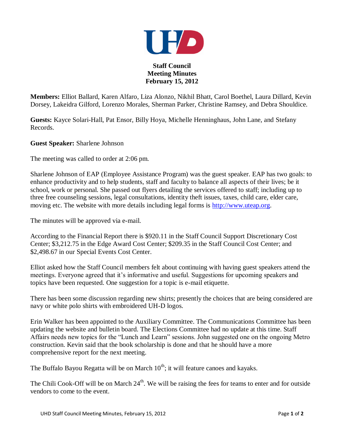

**Staff Council Meeting Minutes February 15, 2012**

**Members:** Elliot Ballard, Karen Alfaro, Liza Alonzo, Nikhil Bhatt, Carol Boethel, Laura Dillard, Kevin Dorsey, Lakeidra Gilford, Lorenzo Morales, Sherman Parker, Christine Ramsey, and Debra Shouldice.

**Guests:** Kayce Solari-Hall, Pat Ensor, Billy Hoya, Michelle Henninghaus, John Lane, and Stefany Records.

**Guest Speaker:** Sharlene Johnson

The meeting was called to order at 2:06 pm.

Sharlene Johnson of EAP (Employee Assistance Program) was the guest speaker. EAP has two goals: to enhance productivity and to help students, staff and faculty to balance all aspects of their lives; be it school, work or personal. She passed out flyers detailing the services offered to staff; including up to three free counseling sessions, legal consultations, identity theft issues, taxes, child care, elder care, moving etc. The website with more details including legal forms is [http://www.uteap.org.](http://www.uteap.org/)

The minutes will be approved via e-mail.

According to the Financial Report there is \$920.11 in the Staff Council Support Discretionary Cost Center; \$3,212.75 in the Edge Award Cost Center; \$209.35 in the Staff Council Cost Center; and \$2,498.67 in our Special Events Cost Center.

Elliot asked how the Staff Council members felt about continuing with having guest speakers attend the meetings. Everyone agreed that it's informative and useful. Suggestions for upcoming speakers and topics have been requested. One suggestion for a topic is e-mail etiquette.

There has been some discussion regarding new shirts; presently the choices that are being considered are navy or white polo shirts with embroidered UH-D logos.

Erin Walker has been appointed to the Auxiliary Committee. The Communications Committee has been updating the website and bulletin board. The Elections Committee had no update at this time. Staff Affairs needs new topics for the "Lunch and Learn" sessions. John suggested one on the ongoing Metro construction. Kevin said that the book scholarship is done and that he should have a more comprehensive report for the next meeting.

The Buffalo Bayou Regatta will be on March  $10<sup>th</sup>$ ; it will feature canoes and kayaks.

The Chili Cook-Off will be on March  $24<sup>th</sup>$ . We will be raising the fees for teams to enter and for outside vendors to come to the event.